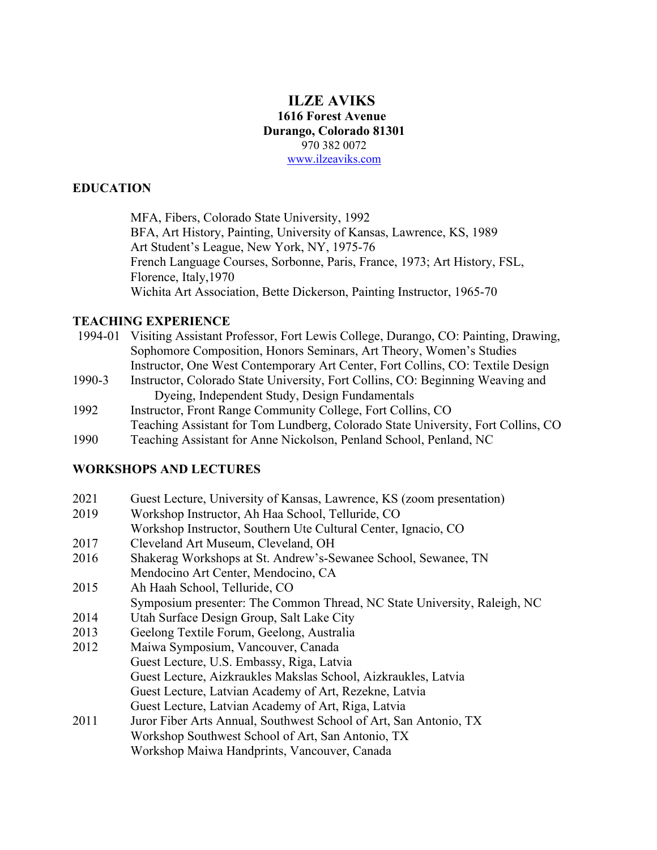### **ILZE AVIKS 1616 Forest Avenue Durango, Colorado 81301** 970 382 0072 www.ilzeaviks.com

### **EDUCATION**

MFA, Fibers, Colorado State University, 1992 BFA, Art History, Painting, University of Kansas, Lawrence, KS, 1989 Art Student's League, New York, NY, 1975-76 French Language Courses, Sorbonne, Paris, France, 1973; Art History, FSL, Florence, Italy,1970 Wichita Art Association, Bette Dickerson, Painting Instructor, 1965-70

#### **TEACHING EXPERIENCE**

| 1994-01 | Visiting Assistant Professor, Fort Lewis College, Durango, CO: Painting, Drawing, |
|---------|-----------------------------------------------------------------------------------|
|         | Sophomore Composition, Honors Seminars, Art Theory, Women's Studies               |
|         | Instructor, One West Contemporary Art Center, Fort Collins, CO: Textile Design    |
| 1990-3  | Instructor, Colorado State University, Fort Collins, CO: Beginning Weaving and    |
|         | Dyeing, Independent Study, Design Fundamentals                                    |
| 1992    | Instructor, Front Range Community College, Fort Collins, CO                       |
|         | Teaching Assistant for Tom Lundberg, Colorado State University, Fort Collins, CO  |
| 1990    | Teaching Assistant for Anne Nickolson, Penland School, Penland, NC                |

## **WORKSHOPS AND LECTURES**

- 2021 Guest Lecture, University of Kansas, Lawrence, KS (zoom presentation)
- 2019 Workshop Instructor, Ah Haa School, Telluride, CO
- Workshop Instructor, Southern Ute Cultural Center, Ignacio, CO
- 2017 Cleveland Art Museum, Cleveland, OH
- 2016 Shakerag Workshops at St. Andrew's-Sewanee School, Sewanee, TN Mendocino Art Center, Mendocino, CA
- 2015 Ah Haah School, Telluride, CO

Symposium presenter: The Common Thread, NC State University, Raleigh, NC

- 2014 Utah Surface Design Group, Salt Lake City
- 2013 Geelong Textile Forum, Geelong, Australia
- 2012 Maiwa Symposium, Vancouver, Canada Guest Lecture, U.S. Embassy, Riga, Latvia Guest Lecture, Aizkraukles Makslas School, Aizkraukles, Latvia Guest Lecture, Latvian Academy of Art, Rezekne, Latvia
	- Guest Lecture, Latvian Academy of Art, Riga, Latvia
- 2011 Juror Fiber Arts Annual, Southwest School of Art, San Antonio, TX Workshop Southwest School of Art, San Antonio, TX Workshop Maiwa Handprints, Vancouver, Canada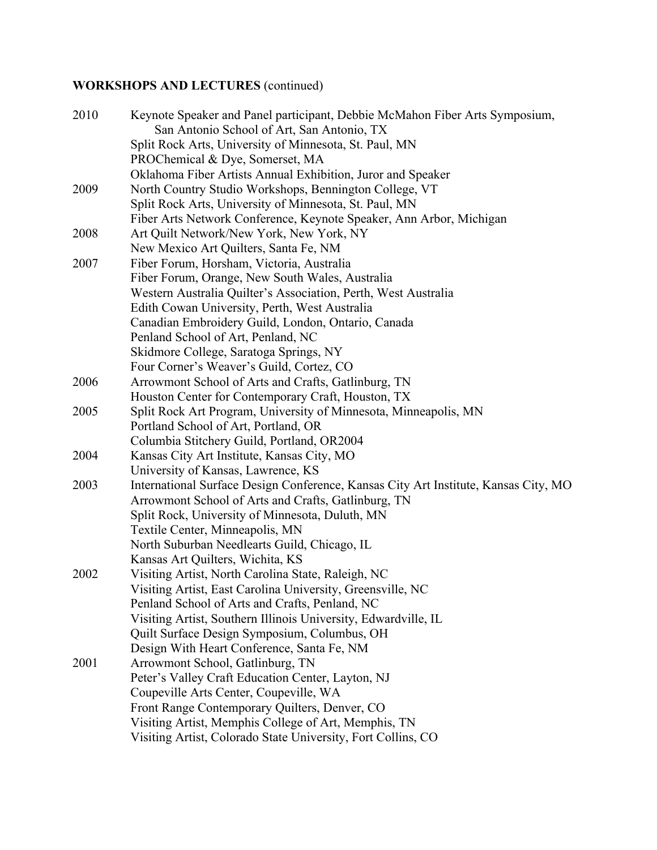# **WORKSHOPS AND LECTURES** (continued)

| 2010 | Keynote Speaker and Panel participant, Debbie McMahon Fiber Arts Symposium,<br>San Antonio School of Art, San Antonio, TX |
|------|---------------------------------------------------------------------------------------------------------------------------|
|      | Split Rock Arts, University of Minnesota, St. Paul, MN                                                                    |
|      | PROChemical & Dye, Somerset, MA                                                                                           |
|      | Oklahoma Fiber Artists Annual Exhibition, Juror and Speaker                                                               |
| 2009 | North Country Studio Workshops, Bennington College, VT                                                                    |
|      | Split Rock Arts, University of Minnesota, St. Paul, MN                                                                    |
|      | Fiber Arts Network Conference, Keynote Speaker, Ann Arbor, Michigan                                                       |
| 2008 | Art Quilt Network/New York, New York, NY                                                                                  |
|      | New Mexico Art Quilters, Santa Fe, NM                                                                                     |
| 2007 | Fiber Forum, Horsham, Victoria, Australia                                                                                 |
|      | Fiber Forum, Orange, New South Wales, Australia                                                                           |
|      | Western Australia Quilter's Association, Perth, West Australia                                                            |
|      | Edith Cowan University, Perth, West Australia                                                                             |
|      | Canadian Embroidery Guild, London, Ontario, Canada                                                                        |
|      | Penland School of Art, Penland, NC                                                                                        |
|      | Skidmore College, Saratoga Springs, NY                                                                                    |
|      | Four Corner's Weaver's Guild, Cortez, CO                                                                                  |
| 2006 | Arrowmont School of Arts and Crafts, Gatlinburg, TN                                                                       |
|      | Houston Center for Contemporary Craft, Houston, TX                                                                        |
| 2005 | Split Rock Art Program, University of Minnesota, Minneapolis, MN                                                          |
|      | Portland School of Art, Portland, OR                                                                                      |
|      | Columbia Stitchery Guild, Portland, OR2004                                                                                |
| 2004 | Kansas City Art Institute, Kansas City, MO                                                                                |
|      | University of Kansas, Lawrence, KS                                                                                        |
| 2003 | International Surface Design Conference, Kansas City Art Institute, Kansas City, MO                                       |
|      | Arrowmont School of Arts and Crafts, Gatlinburg, TN                                                                       |
|      | Split Rock, University of Minnesota, Duluth, MN                                                                           |
|      | Textile Center, Minneapolis, MN                                                                                           |
|      | North Suburban Needlearts Guild, Chicago, IL                                                                              |
|      | Kansas Art Quilters, Wichita, KS                                                                                          |
| 2002 | Visiting Artist, North Carolina State, Raleigh, NC                                                                        |
|      | Visiting Artist, East Carolina University, Greensville, NC                                                                |
|      | Penland School of Arts and Crafts, Penland, NC                                                                            |
|      | Visiting Artist, Southern Illinois University, Edwardville, IL                                                            |
|      | Quilt Surface Design Symposium, Columbus, OH                                                                              |
|      | Design With Heart Conference, Santa Fe, NM                                                                                |
| 2001 | Arrowmont School, Gatlinburg, TN                                                                                          |
|      | Peter's Valley Craft Education Center, Layton, NJ                                                                         |
|      | Coupeville Arts Center, Coupeville, WA                                                                                    |
|      | Front Range Contemporary Quilters, Denver, CO                                                                             |
|      | Visiting Artist, Memphis College of Art, Memphis, TN                                                                      |
|      | Visiting Artist, Colorado State University, Fort Collins, CO                                                              |
|      |                                                                                                                           |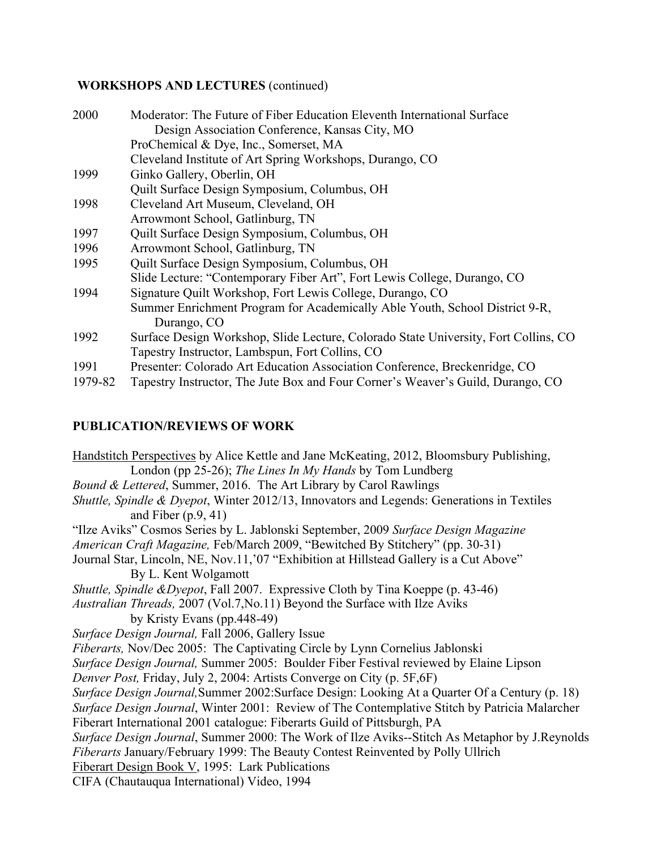### **WORKSHOPS AND LECTURES** (continued)

| 2000    | Moderator: The Future of Fiber Education Eleventh International Surface             |
|---------|-------------------------------------------------------------------------------------|
|         | Design Association Conference, Kansas City, MO                                      |
|         | ProChemical & Dye, Inc., Somerset, MA                                               |
|         | Cleveland Institute of Art Spring Workshops, Durango, CO                            |
| 1999    | Ginko Gallery, Oberlin, OH                                                          |
|         | Quilt Surface Design Symposium, Columbus, OH                                        |
| 1998    | Cleveland Art Museum, Cleveland, OH                                                 |
|         | Arrowmont School, Gatlinburg, TN                                                    |
| 1997    | Quilt Surface Design Symposium, Columbus, OH                                        |
| 1996    | Arrowmont School, Gatlinburg, TN                                                    |
| 1995    | Quilt Surface Design Symposium, Columbus, OH                                        |
|         | Slide Lecture: "Contemporary Fiber Art", Fort Lewis College, Durango, CO            |
| 1994    | Signature Quilt Workshop, Fort Lewis College, Durango, CO                           |
|         | Summer Enrichment Program for Academically Able Youth, School District 9-R,         |
|         | Durango, CO                                                                         |
| 1992    | Surface Design Workshop, Slide Lecture, Colorado State University, Fort Collins, CO |
|         | Tapestry Instructor, Lambspun, Fort Collins, CO                                     |
| 1991    | Presenter: Colorado Art Education Association Conference, Breckenridge, CO          |
| 1979-82 | Tapestry Instructor, The Jute Box and Four Corner's Weaver's Guild, Durango, CO     |

# **PUBLICATION/REVIEWS OF WORK**

Handstitch Perspectives by Alice Kettle and Jane McKeating, 2012, Bloomsbury Publishing, London (pp 25-26); *The Lines In My Hands* by Tom Lundberg *Bound & Lettered*, Summer, 2016. The Art Library by Carol Rawlings *Shuttle, Spindle & Dyepot*, Winter 2012/13, Innovators and Legends: Generations in Textiles and Fiber (p.9, 41) "Ilze Aviks" Cosmos Series by L. Jablonski September, 2009 *Surface Design Magazine American Craft Magazine,* Feb/March 2009, "Bewitched By Stitchery" (pp. 30-31) Journal Star, Lincoln, NE, Nov.11,'07 "Exhibition at Hillstead Gallery is a Cut Above" By L. Kent Wolgamott *Shuttle, Spindle &Dyepot*, Fall 2007. Expressive Cloth by Tina Koeppe (p. 43-46) *Australian Threads,* 2007 (Vol.7,No.11) Beyond the Surface with Ilze Aviks by Kristy Evans (pp.448-49) *Surface Design Journal,* Fall 2006, Gallery Issue *Fiberarts,* Nov/Dec 2005: The Captivating Circle by Lynn Cornelius Jablonski *Surface Design Journal,* Summer 2005: Boulder Fiber Festival reviewed by Elaine Lipson *Denver Post,* Friday, July 2, 2004: Artists Converge on City (p. 5F,6F) *Surface Design Journal,*Summer 2002:Surface Design: Looking At a Quarter Of a Century (p. 18) *Surface Design Journal*, Winter 2001: Review of The Contemplative Stitch by Patricia Malarcher Fiberart International 2001 catalogue: Fiberarts Guild of Pittsburgh, PA *Surface Design Journal*, Summer 2000: The Work of Ilze Aviks--Stitch As Metaphor by J.Reynolds *Fiberarts* January/February 1999: The Beauty Contest Reinvented by Polly Ullrich Fiberart Design Book V, 1995: Lark Publications CIFA (Chautauqua International) Video, 1994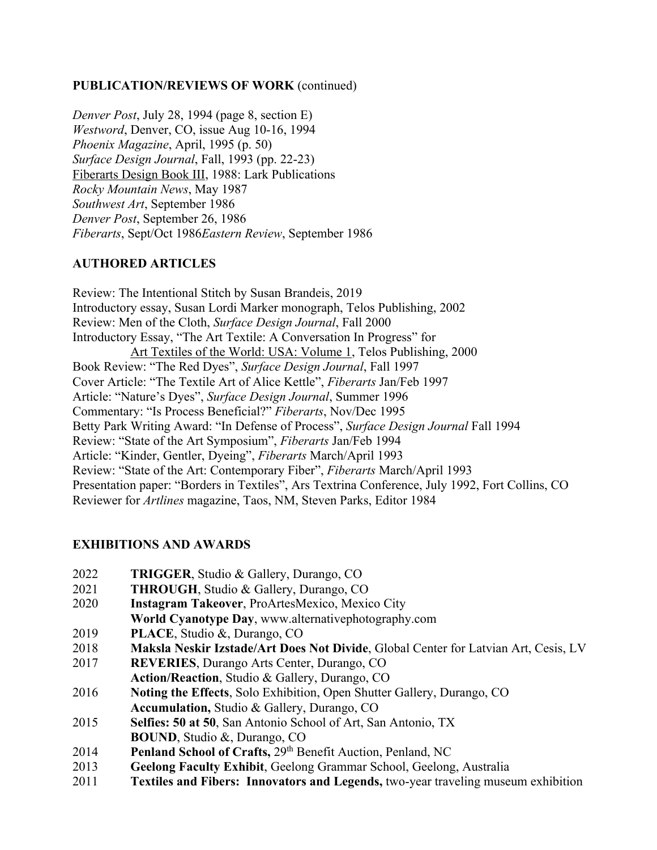### **PUBLICATION/REVIEWS OF WORK** (continued)

*Denver Post*, July 28, 1994 (page 8, section E) *Westword*, Denver, CO, issue Aug 10-16, 1994 *Phoenix Magazine*, April, 1995 (p. 50) *Surface Design Journal*, Fall, 1993 (pp. 22-23) Fiberarts Design Book III, 1988: Lark Publications *Rocky Mountain News*, May 1987 *Southwest Art*, September 1986 *Denver Post*, September 26, 1986 *Fiberarts*, Sept/Oct 1986*Eastern Review*, September 1986

## **AUTHORED ARTICLES**

Review: The Intentional Stitch by Susan Brandeis, 2019 Introductory essay, Susan Lordi Marker monograph, Telos Publishing, 2002 Review: Men of the Cloth, *Surface Design Journal*, Fall 2000 Introductory Essay, "The Art Textile: A Conversation In Progress" for Art Textiles of the World: USA: Volume 1, Telos Publishing, 2000 Book Review: "The Red Dyes", *Surface Design Journal*, Fall 1997 Cover Article: "The Textile Art of Alice Kettle", *Fiberarts* Jan/Feb 1997 Article: "Nature's Dyes", *Surface Design Journal*, Summer 1996 Commentary: "Is Process Beneficial?" *Fiberarts*, Nov/Dec 1995 Betty Park Writing Award: "In Defense of Process", *Surface Design Journal* Fall 1994 Review: "State of the Art Symposium", *Fiberarts* Jan/Feb 1994 Article: "Kinder, Gentler, Dyeing", *Fiberarts* March/April 1993 Review: "State of the Art: Contemporary Fiber", *Fiberarts* March/April 1993 Presentation paper: "Borders in Textiles", Ars Textrina Conference, July 1992, Fort Collins, CO Reviewer for *Artlines* magazine, Taos, NM, Steven Parks, Editor 1984

## **EXHIBITIONS AND AWARDS**

- 2022 **TRIGGER**, Studio & Gallery, Durango, CO
- 2021 **THROUGH**, Studio & Gallery, Durango, CO
- 2020 **Instagram Takeover**, ProArtesMexico, Mexico City **World Cyanotype Day**, www.alternativephotography.com
- 2019 **PLACE**, Studio &, Durango, CO
- 2018 **Maksla Neskir Izstade/Art Does Not Divide**, Global Center for Latvian Art, Cesis, LV
- 2017 **REVERIES**, Durango Arts Center, Durango, CO **Action/Reaction**, Studio & Gallery, Durango, CO
- 2016 **Noting the Effects**, Solo Exhibition, Open Shutter Gallery, Durango, CO **Accumulation,** Studio & Gallery, Durango, CO
- 2015 **Selfies: 50 at 50**, San Antonio School of Art, San Antonio, TX **BOUND**, Studio &, Durango, CO
- 2014 **Penland School of Crafts,** 29th Benefit Auction, Penland, NC
- 2013 **Geelong Faculty Exhibit**, Geelong Grammar School, Geelong, Australia
- 2011 **Textiles and Fibers: Innovators and Legends,** two-year traveling museum exhibition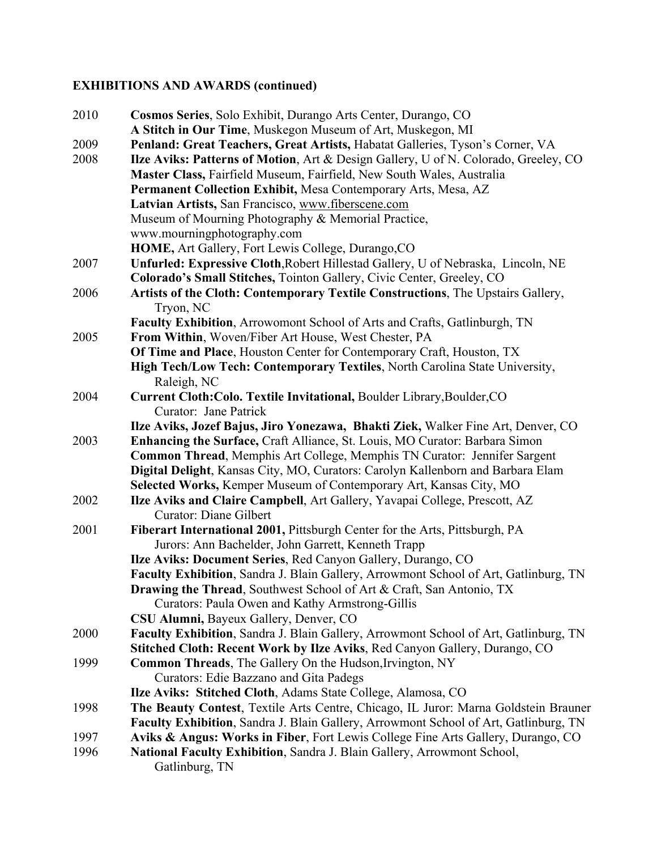# **EXHIBITIONS AND AWARDS (continued)**

| 2010 | Cosmos Series, Solo Exhibit, Durango Arts Center, Durango, CO<br>A Stitch in Our Time, Muskegon Museum of Art, Muskegon, MI                                                                                                    |
|------|--------------------------------------------------------------------------------------------------------------------------------------------------------------------------------------------------------------------------------|
| 2009 | Penland: Great Teachers, Great Artists, Habatat Galleries, Tyson's Corner, VA                                                                                                                                                  |
| 2008 | Ilze Aviks: Patterns of Motion, Art & Design Gallery, U of N. Colorado, Greeley, CO<br>Master Class, Fairfield Museum, Fairfield, New South Wales, Australia<br>Permanent Collection Exhibit, Mesa Contemporary Arts, Mesa, AZ |
|      | Latvian Artists, San Francisco, www.fiberscene.com                                                                                                                                                                             |
|      | Museum of Mourning Photography & Memorial Practice,                                                                                                                                                                            |
|      | www.mourningphotography.com                                                                                                                                                                                                    |
|      | HOME, Art Gallery, Fort Lewis College, Durango, CO                                                                                                                                                                             |
| 2007 | Unfurled: Expressive Cloth, Robert Hillestad Gallery, U of Nebraska, Lincoln, NE                                                                                                                                               |
|      | Colorado's Small Stitches, Tointon Gallery, Civic Center, Greeley, CO                                                                                                                                                          |
| 2006 | Artists of the Cloth: Contemporary Textile Constructions, The Upstairs Gallery,<br>Tryon, NC                                                                                                                                   |
| 2005 | Faculty Exhibition, Arrowomont School of Arts and Crafts, Gatlinburgh, TN<br>From Within, Woven/Fiber Art House, West Chester, PA                                                                                              |
|      | Of Time and Place, Houston Center for Contemporary Craft, Houston, TX                                                                                                                                                          |
|      | High Tech/Low Tech: Contemporary Textiles, North Carolina State University,                                                                                                                                                    |
|      | Raleigh, NC                                                                                                                                                                                                                    |
| 2004 | Current Cloth: Colo. Textile Invitational, Boulder Library, Boulder, CO                                                                                                                                                        |
|      | <b>Curator: Jane Patrick</b>                                                                                                                                                                                                   |
|      | Ilze Aviks, Jozef Bajus, Jiro Yonezawa, Bhakti Ziek, Walker Fine Art, Denver, CO                                                                                                                                               |
| 2003 | Enhancing the Surface, Craft Alliance, St. Louis, MO Curator: Barbara Simon                                                                                                                                                    |
|      | Common Thread, Memphis Art College, Memphis TN Curator: Jennifer Sargent                                                                                                                                                       |
|      | Digital Delight, Kansas City, MO, Curators: Carolyn Kallenborn and Barbara Elam                                                                                                                                                |
|      | Selected Works, Kemper Museum of Contemporary Art, Kansas City, MO                                                                                                                                                             |
| 2002 | Ilze Aviks and Claire Campbell, Art Gallery, Yavapai College, Prescott, AZ                                                                                                                                                     |
|      | <b>Curator: Diane Gilbert</b>                                                                                                                                                                                                  |
| 2001 | Fiberart International 2001, Pittsburgh Center for the Arts, Pittsburgh, PA                                                                                                                                                    |
|      | Jurors: Ann Bachelder, John Garrett, Kenneth Trapp                                                                                                                                                                             |
|      | Ilze Aviks: Document Series, Red Canyon Gallery, Durango, CO                                                                                                                                                                   |
|      | Faculty Exhibition, Sandra J. Blain Gallery, Arrowmont School of Art, Gatlinburg, TN                                                                                                                                           |
|      | <b>Drawing the Thread, Southwest School of Art &amp; Craft, San Antonio, TX</b><br>Curators: Paula Owen and Kathy Armstrong-Gillis                                                                                             |
|      | CSU Alumni, Bayeux Gallery, Denver, CO                                                                                                                                                                                         |
| 2000 | Faculty Exhibition, Sandra J. Blain Gallery, Arrowmont School of Art, Gatlinburg, TN                                                                                                                                           |
|      | Stitched Cloth: Recent Work by Ilze Aviks, Red Canyon Gallery, Durango, CO                                                                                                                                                     |
| 1999 | <b>Common Threads</b> , The Gallery On the Hudson, Irvington, NY                                                                                                                                                               |
|      | Curators: Edie Bazzano and Gita Padegs                                                                                                                                                                                         |
|      | Ilze Aviks: Stitched Cloth, Adams State College, Alamosa, CO                                                                                                                                                                   |
| 1998 | The Beauty Contest, Textile Arts Centre, Chicago, IL Juror: Marna Goldstein Brauner                                                                                                                                            |
|      | Faculty Exhibition, Sandra J. Blain Gallery, Arrowmont School of Art, Gatlinburg, TN                                                                                                                                           |
| 1997 | Aviks & Angus: Works in Fiber, Fort Lewis College Fine Arts Gallery, Durango, CO                                                                                                                                               |
| 1996 | National Faculty Exhibition, Sandra J. Blain Gallery, Arrowmont School,                                                                                                                                                        |
|      | Gatlinburg, TN                                                                                                                                                                                                                 |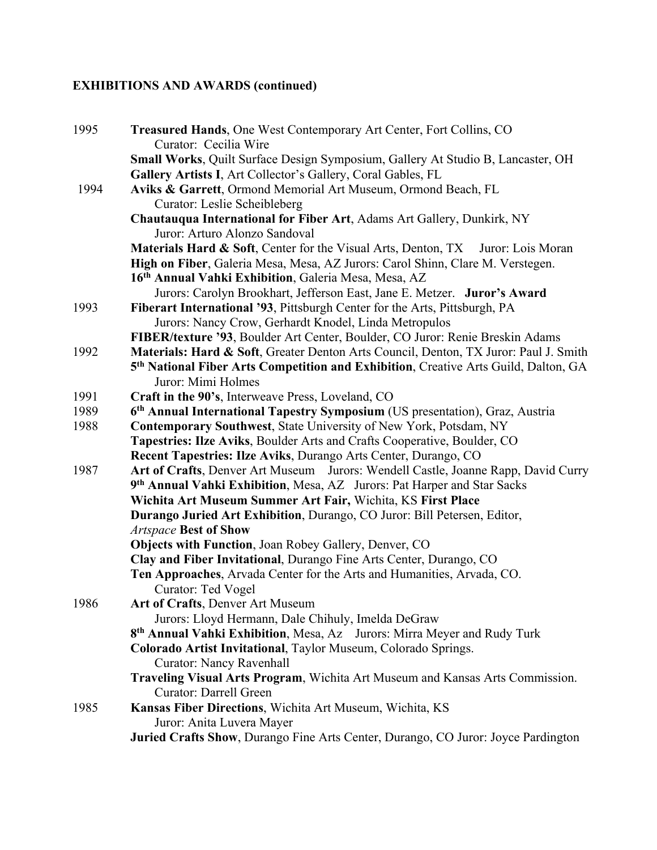# **EXHIBITIONS AND AWARDS (continued)**

| 1995 | Treasured Hands, One West Contemporary Art Center, Fort Collins, CO<br>Curator: Cecilia Wire    |
|------|-------------------------------------------------------------------------------------------------|
|      | Small Works, Quilt Surface Design Symposium, Gallery At Studio B, Lancaster, OH                 |
|      | Gallery Artists I, Art Collector's Gallery, Coral Gables, FL                                    |
| 1994 | Aviks & Garrett, Ormond Memorial Art Museum, Ormond Beach, FL                                   |
|      | Curator: Leslie Scheibleberg                                                                    |
|      | Chautauqua International for Fiber Art, Adams Art Gallery, Dunkirk, NY                          |
|      | Juror: Arturo Alonzo Sandoval                                                                   |
|      | Materials Hard & Soft, Center for the Visual Arts, Denton, TX Juror: Lois Moran                 |
|      | High on Fiber, Galeria Mesa, Mesa, AZ Jurors: Carol Shinn, Clare M. Verstegen.                  |
|      | 16th Annual Vahki Exhibition, Galeria Mesa, Mesa, AZ                                            |
|      | Jurors: Carolyn Brookhart, Jefferson East, Jane E. Metzer. Juror's Award                        |
| 1993 | Fiberart International '93, Pittsburgh Center for the Arts, Pittsburgh, PA                      |
|      | Jurors: Nancy Crow, Gerhardt Knodel, Linda Metropulos                                           |
|      | FIBER/texture '93, Boulder Art Center, Boulder, CO Juror: Renie Breskin Adams                   |
| 1992 | Materials: Hard & Soft, Greater Denton Arts Council, Denton, TX Juror: Paul J. Smith            |
|      | 5 <sup>th</sup> National Fiber Arts Competition and Exhibition, Creative Arts Guild, Dalton, GA |
|      | Juror: Mimi Holmes                                                                              |
| 1991 | Craft in the 90's, Interweave Press, Loveland, CO                                               |
| 1989 | 6th Annual International Tapestry Symposium (US presentation), Graz, Austria                    |
| 1988 | <b>Contemporary Southwest, State University of New York, Potsdam, NY</b>                        |
|      | Tapestries: Ilze Aviks, Boulder Arts and Crafts Cooperative, Boulder, CO                        |
|      | Recent Tapestries: Ilze Aviks, Durango Arts Center, Durango, CO                                 |
| 1987 | Art of Crafts, Denver Art Museum Jurors: Wendell Castle, Joanne Rapp, David Curry               |
|      | 9 <sup>th</sup> Annual Vahki Exhibition, Mesa, AZ Jurors: Pat Harper and Star Sacks             |
|      | Wichita Art Museum Summer Art Fair, Wichita, KS First Place                                     |
|      | Durango Juried Art Exhibition, Durango, CO Juror: Bill Petersen, Editor,                        |
|      | <b>Artspace Best of Show</b>                                                                    |
|      | Objects with Function, Joan Robey Gallery, Denver, CO                                           |
|      | Clay and Fiber Invitational, Durango Fine Arts Center, Durango, CO                              |
|      | Ten Approaches, Arvada Center for the Arts and Humanities, Arvada, CO.                          |
|      | Curator: Ted Vogel                                                                              |
| 1986 | Art of Crafts, Denver Art Museum                                                                |
|      | Jurors: Lloyd Hermann, Dale Chihuly, Imelda DeGraw                                              |
|      | 8 <sup>th</sup> Annual Vahki Exhibition, Mesa, Az Jurors: Mirra Meyer and Rudy Turk             |
|      | Colorado Artist Invitational, Taylor Museum, Colorado Springs.                                  |
|      | <b>Curator: Nancy Ravenhall</b>                                                                 |
|      | Traveling Visual Arts Program, Wichita Art Museum and Kansas Arts Commission.                   |
|      | <b>Curator: Darrell Green</b>                                                                   |
| 1985 | Kansas Fiber Directions, Wichita Art Museum, Wichita, KS                                        |
|      | Juror: Anita Luvera Mayer                                                                       |
|      | Juried Crafts Show, Durango Fine Arts Center, Durango, CO Juror: Joyce Pardington               |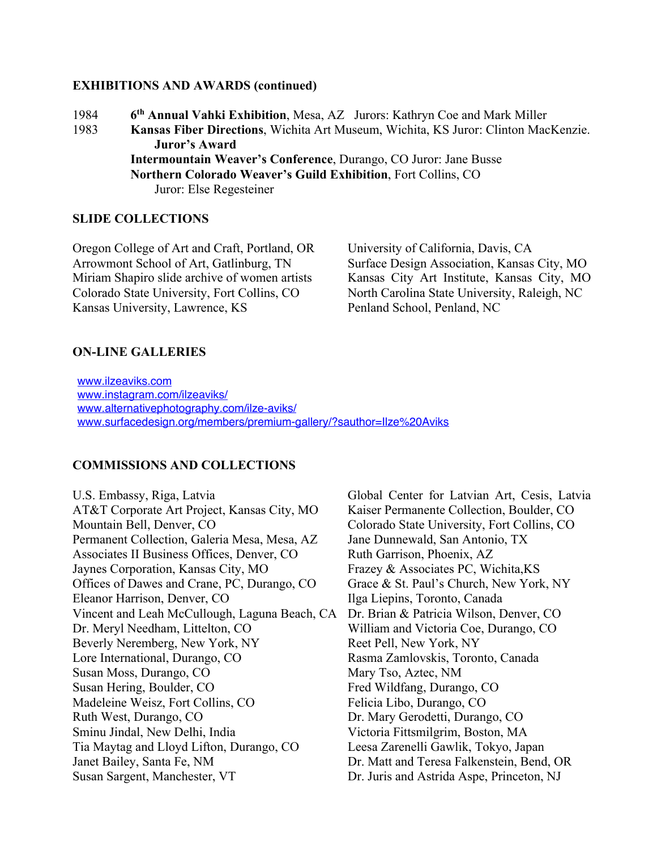#### **EXHIBITIONS AND AWARDS (continued)**

1984 **6th Annual Vahki Exhibition**, Mesa, AZ Jurors: Kathryn Coe and Mark Miller 1983 **Kansas Fiber Directions**, Wichita Art Museum, Wichita, KS Juror: Clinton MacKenzie. **Juror's Award Intermountain Weaver's Conference**, Durango, CO Juror: Jane Busse **Northern Colorado Weaver's Guild Exhibition**, Fort Collins, CO Juror: Else Regesteiner

#### **SLIDE COLLECTIONS**

Oregon College of Art and Craft, Portland, OR University of California, Davis, CA Arrowmont School of Art, Gatlinburg, TN Surface Design Association, Kansas City, MO Miriam Shapiro slide archive of women artists Kansas City Art Institute, Kansas City, MO Colorado State University, Fort Collins, CO North Carolina State University, Raleigh, NC Kansas University, Lawrence, KS Penland School, Penland, NC

#### **ON-LINE GALLERIES**

www.ilzeaviks.com www.instagram.com/ilzeaviks/ www.alternativephotography.com/ilze-aviks/ www.surfacedesign.org/members/premium-gallery/?sauthor=Ilze%20Aviks

#### **COMMISSIONS AND COLLECTIONS**

AT&T Corporate Art Project, Kansas City, MO Kaiser Permanente Collection, Boulder, CO Mountain Bell, Denver, CO Colorado State University, Fort Collins, CO Permanent Collection, Galeria Mesa, Mesa, AZ Jane Dunnewald, San Antonio, TX Associates II Business Offices, Denver, CO Ruth Garrison, Phoenix, AZ Jaynes Corporation, Kansas City, MO Frazey & Associates PC, Wichita,KS Offices of Dawes and Crane, PC, Durango, CO Grace & St. Paul's Church, New York, NY Eleanor Harrison, Denver, CO Ilga Liepins, Toronto, Canada Vincent and Leah McCullough, Laguna Beach, CA Dr. Brian & Patricia Wilson, Denver, CO Dr. Meryl Needham, Littelton, CO William and Victoria Coe, Durango, CO Beverly Neremberg, New York, NY Reet Pell, New York, NY Lore International, Durango, CO Rasma Zamlovskis, Toronto, Canada Susan Moss, Durango, CO Mary Tso, Aztec, NM Susan Hering, Boulder, CO Fred Wildfang, Durango, CO Madeleine Weisz, Fort Collins, CO Felicia Libo, Durango, CO Ruth West, Durango, CO Dr. Mary Gerodetti, Durango, CO Sminu Jindal, New Delhi, India Victoria Fittsmilgrim, Boston, MA Tia Maytag and Lloyd Lifton, Durango, CO Leesa Zarenelli Gawlik, Tokyo, Japan Janet Bailey, Santa Fe, NM Dr. Matt and Teresa Falkenstein, Bend, OR Susan Sargent, Manchester, VT Dr. Juris and Astrida Aspe, Princeton, NJ

U.S. Embassy, Riga, Latvia Global Center for Latvian Art, Cesis, Latvia